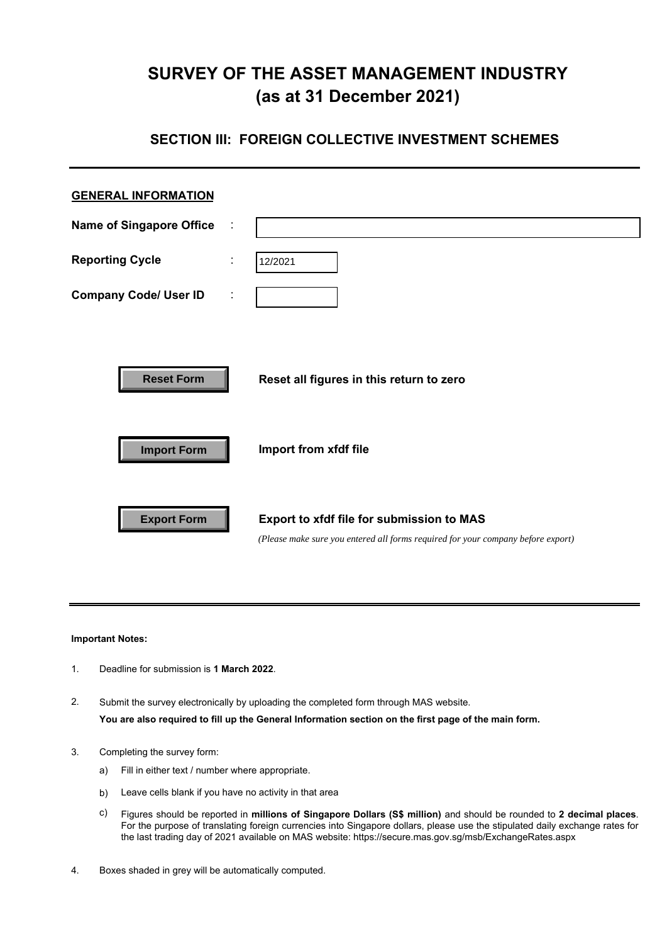# **SURVEY OF THE ASSET MANAGEMENT INDUSTRY (as at 31 December 2021)**

# **SECTION III: FOREIGN COLLECTIVE INVESTMENT SCHEMES**

| <b>GENERAL INFORMATION</b>              |   |                                                                                                                               |
|-----------------------------------------|---|-------------------------------------------------------------------------------------------------------------------------------|
| <b>Name of Singapore Office</b>         | ÷ |                                                                                                                               |
| <b>Reporting Cycle</b>                  | ÷ | 12/2021                                                                                                                       |
| <b>Company Code/ User ID</b>            | ÷ |                                                                                                                               |
| <b>Reset Form</b><br><b>Import Form</b> |   | Reset all figures in this return to zero<br>Import from xfdf file                                                             |
| <b>Export Form</b>                      |   | Export to xfdf file for submission to MAS<br>(Please make sure you entered all forms required for your company before export) |

## **Important Notes:**

- 1. Deadline for submission is **1 March 2022**.
- 2. Submit the survey electronically by uploading the completed form through MAS website. **You are also required to fill up the General Information section on the first page of the main form.**
- 3. Completing the survey form:
	- a) Fill in either text / number where appropriate.
	- b) Leave cells blank if you have no activity in that area
	- c) Figures should be reported in **millions of Singapore Dollars (S\$ million)** and should be rounded to **2 decimal places**. For the purpose of translating foreign currencies into Singapore dollars, please use the stipulated daily exchange rates for the last trading day of 2021 available on MAS website: https://secure.mas.gov.sg/msb/ExchangeRates.aspx
- 4. Boxes shaded in grey will be automatically computed.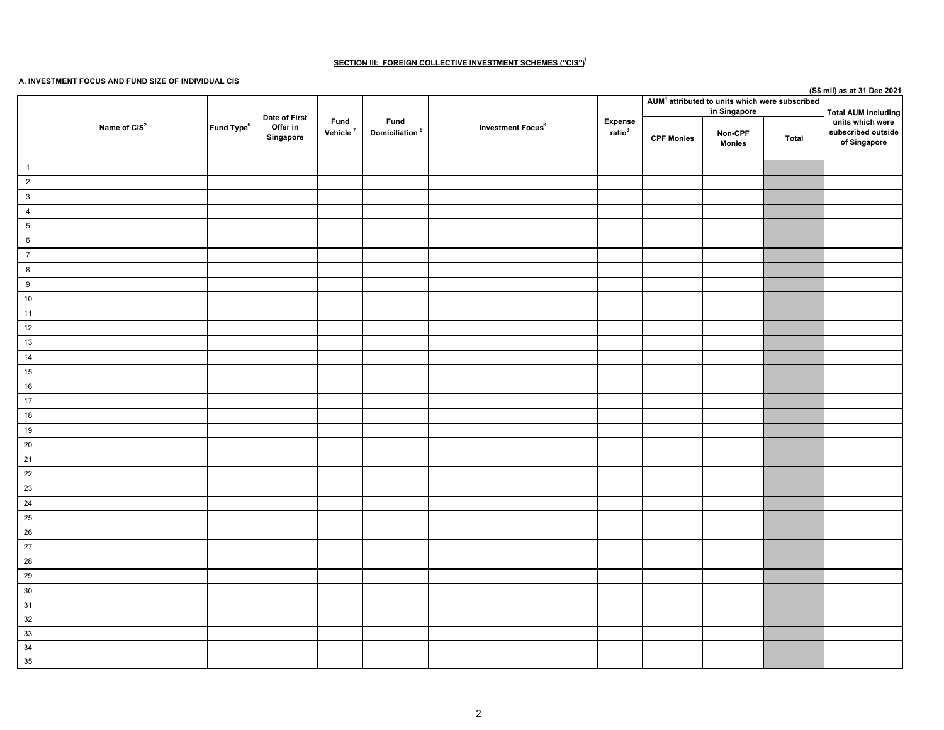### **SECTION III: FOREIGN COLLECTIVE INVESTMENT SCHEMES ("CIS")**<sup>1</sup>

#### **A. INVESTMENT FOCUS AND FUND SIZE OF INDIVIDUAL CIS**

|                         |                          |                        |                                        |                              |                                    |                               |                                      |                   |                                                                            |       | (S\$ mil) as at 31 Dec 2021                            |
|-------------------------|--------------------------|------------------------|----------------------------------------|------------------------------|------------------------------------|-------------------------------|--------------------------------------|-------------------|----------------------------------------------------------------------------|-------|--------------------------------------------------------|
|                         |                          |                        |                                        |                              |                                    |                               |                                      |                   | AUM <sup>4</sup> attributed to units which were subscribed<br>in Singapore |       | <b>Total AUM including</b>                             |
|                         | Name of CIS <sup>2</sup> | Fund Type <sup>5</sup> | Date of First<br>Offer in<br>Singapore | Fund<br>Vehicle <sup>7</sup> | Fund<br>Domiciliation <sup>8</sup> | Investment Focus <sup>6</sup> | <b>Expense</b><br>ratio <sup>3</sup> | <b>CPF Monies</b> | Non-CPF<br><b>Monies</b>                                                   | Total | units which were<br>subscribed outside<br>of Singapore |
| $\overline{1}$          |                          |                        |                                        |                              |                                    |                               |                                      |                   |                                                                            |       |                                                        |
| $\overline{\mathbf{2}}$ |                          |                        |                                        |                              |                                    |                               |                                      |                   |                                                                            |       |                                                        |
| $\mathbf{3}$            |                          |                        |                                        |                              |                                    |                               |                                      |                   |                                                                            |       |                                                        |
| $\overline{4}$          |                          |                        |                                        |                              |                                    |                               |                                      |                   |                                                                            |       |                                                        |
| $\overline{5}$          |                          |                        |                                        |                              |                                    |                               |                                      |                   |                                                                            |       |                                                        |
| $\,6\,$                 |                          |                        |                                        |                              |                                    |                               |                                      |                   |                                                                            |       |                                                        |
| $\overline{7}$          |                          |                        |                                        |                              |                                    |                               |                                      |                   |                                                                            |       |                                                        |
| $\bf 8$                 |                          |                        |                                        |                              |                                    |                               |                                      |                   |                                                                            |       |                                                        |
| $\boldsymbol{9}$        |                          |                        |                                        |                              |                                    |                               |                                      |                   |                                                                            |       |                                                        |
| 10                      |                          |                        |                                        |                              |                                    |                               |                                      |                   |                                                                            |       |                                                        |
| 11                      |                          |                        |                                        |                              |                                    |                               |                                      |                   |                                                                            |       |                                                        |
| 12                      |                          |                        |                                        |                              |                                    |                               |                                      |                   |                                                                            |       |                                                        |
| 13                      |                          |                        |                                        |                              |                                    |                               |                                      |                   |                                                                            |       |                                                        |
| 14                      |                          |                        |                                        |                              |                                    |                               |                                      |                   |                                                                            |       |                                                        |
| 15                      |                          |                        |                                        |                              |                                    |                               |                                      |                   |                                                                            |       |                                                        |
| 16                      |                          |                        |                                        |                              |                                    |                               |                                      |                   |                                                                            |       |                                                        |
| 17                      |                          |                        |                                        |                              |                                    |                               |                                      |                   |                                                                            |       |                                                        |
| 18                      |                          |                        |                                        |                              |                                    |                               |                                      |                   |                                                                            |       |                                                        |
| 19                      |                          |                        |                                        |                              |                                    |                               |                                      |                   |                                                                            |       |                                                        |
| 20                      |                          |                        |                                        |                              |                                    |                               |                                      |                   |                                                                            |       |                                                        |
| 21                      |                          |                        |                                        |                              |                                    |                               |                                      |                   |                                                                            |       |                                                        |
| 22                      |                          |                        |                                        |                              |                                    |                               |                                      |                   |                                                                            |       |                                                        |
| 23                      |                          |                        |                                        |                              |                                    |                               |                                      |                   |                                                                            |       |                                                        |
| 24                      |                          |                        |                                        |                              |                                    |                               |                                      |                   |                                                                            |       |                                                        |
| 25                      |                          |                        |                                        |                              |                                    |                               |                                      |                   |                                                                            |       |                                                        |
| 26                      |                          |                        |                                        |                              |                                    |                               |                                      |                   |                                                                            |       |                                                        |
| 27                      |                          |                        |                                        |                              |                                    |                               |                                      |                   |                                                                            |       |                                                        |
| 28                      |                          |                        |                                        |                              |                                    |                               |                                      |                   |                                                                            |       |                                                        |
| 29                      |                          |                        |                                        |                              |                                    |                               |                                      |                   |                                                                            |       |                                                        |
| $30\,$                  |                          |                        |                                        |                              |                                    |                               |                                      |                   |                                                                            |       |                                                        |
| 31                      |                          |                        |                                        |                              |                                    |                               |                                      |                   |                                                                            |       |                                                        |
| 32                      |                          |                        |                                        |                              |                                    |                               |                                      |                   |                                                                            |       |                                                        |
| 33                      |                          |                        |                                        |                              |                                    |                               |                                      |                   |                                                                            |       |                                                        |
| $\frac{34}{35}$         |                          |                        |                                        |                              |                                    |                               |                                      |                   |                                                                            |       |                                                        |
|                         |                          |                        |                                        |                              |                                    |                               |                                      |                   |                                                                            |       |                                                        |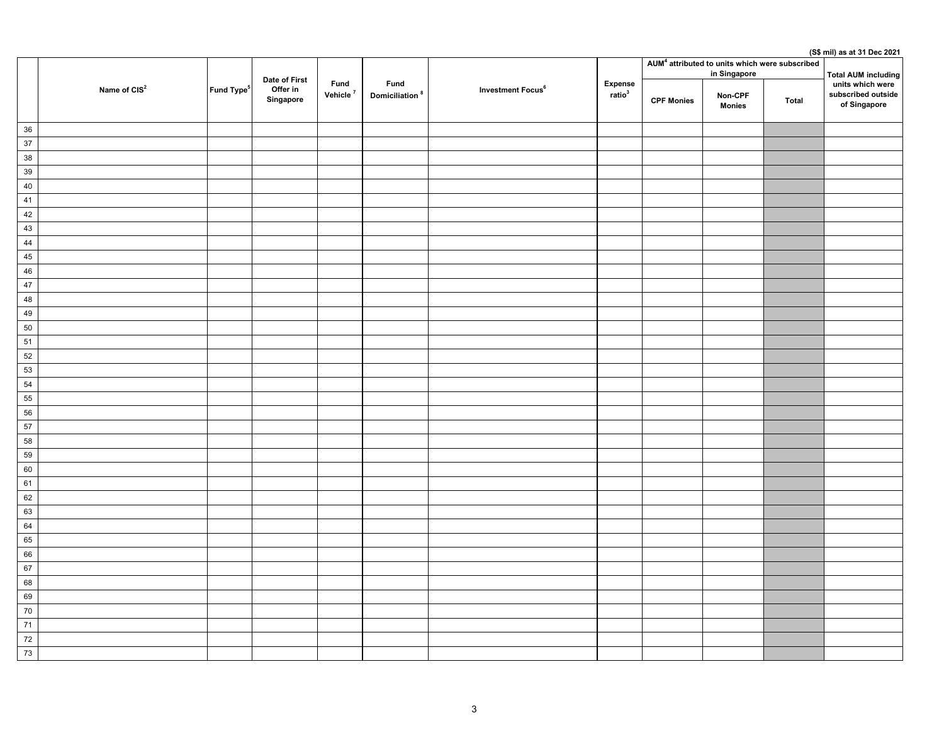|                                                  |                |                        |                                        |                              |                                    |                               |                               |                   | AUM <sup>4</sup> attributed to units which were subscribed<br>in Singapore |       | (S\$ mil) as at 31 Dec 2021<br><b>Total AUM including</b> |
|--------------------------------------------------|----------------|------------------------|----------------------------------------|------------------------------|------------------------------------|-------------------------------|-------------------------------|-------------------|----------------------------------------------------------------------------|-------|-----------------------------------------------------------|
|                                                  | Name of $CIS2$ | Fund Type <sup>5</sup> | Date of First<br>Offer in<br>Singapore | Fund<br>Vehicle <sup>7</sup> | Fund<br>Domiciliation <sup>8</sup> | Investment Focus <sup>6</sup> | Expense<br>ratio <sup>3</sup> | <b>CPF Monies</b> | Non-CPF<br><b>Monies</b>                                                   | Total | units which were<br>subscribed outside<br>of Singapore    |
| 36                                               |                |                        |                                        |                              |                                    |                               |                               |                   |                                                                            |       |                                                           |
| 37                                               |                |                        |                                        |                              |                                    |                               |                               |                   |                                                                            |       |                                                           |
| 38                                               |                |                        |                                        |                              |                                    |                               |                               |                   |                                                                            |       |                                                           |
| 39                                               |                |                        |                                        |                              |                                    |                               |                               |                   |                                                                            |       |                                                           |
| 40                                               |                |                        |                                        |                              |                                    |                               |                               |                   |                                                                            |       |                                                           |
| 41                                               |                |                        |                                        |                              |                                    |                               |                               |                   |                                                                            |       |                                                           |
| 42                                               |                |                        |                                        |                              |                                    |                               |                               |                   |                                                                            |       |                                                           |
| 43                                               |                |                        |                                        |                              |                                    |                               |                               |                   |                                                                            |       |                                                           |
| 44                                               |                |                        |                                        |                              |                                    |                               |                               |                   |                                                                            |       |                                                           |
| 45                                               |                |                        |                                        |                              |                                    |                               |                               |                   |                                                                            |       |                                                           |
| 46                                               |                |                        |                                        |                              |                                    |                               |                               |                   |                                                                            |       |                                                           |
| 47                                               |                |                        |                                        |                              |                                    |                               |                               |                   |                                                                            |       |                                                           |
| 48                                               |                |                        |                                        |                              |                                    |                               |                               |                   |                                                                            |       |                                                           |
| 49                                               |                |                        |                                        |                              |                                    |                               |                               |                   |                                                                            |       |                                                           |
| 50                                               |                |                        |                                        |                              |                                    |                               |                               |                   |                                                                            |       |                                                           |
| 51                                               |                |                        |                                        |                              |                                    |                               |                               |                   |                                                                            |       |                                                           |
| 52                                               |                |                        |                                        |                              |                                    |                               |                               |                   |                                                                            |       |                                                           |
| 53                                               |                |                        |                                        |                              |                                    |                               |                               |                   |                                                                            |       |                                                           |
| 54                                               |                |                        |                                        |                              |                                    |                               |                               |                   |                                                                            |       |                                                           |
| 55                                               |                |                        |                                        |                              |                                    |                               |                               |                   |                                                                            |       |                                                           |
| 56                                               |                |                        |                                        |                              |                                    |                               |                               |                   |                                                                            |       |                                                           |
| 57                                               |                |                        |                                        |                              |                                    |                               |                               |                   |                                                                            |       |                                                           |
| 58                                               |                |                        |                                        |                              |                                    |                               |                               |                   |                                                                            |       |                                                           |
| 59                                               |                |                        |                                        |                              |                                    |                               |                               |                   |                                                                            |       |                                                           |
| 60                                               |                |                        |                                        |                              |                                    |                               |                               |                   |                                                                            |       |                                                           |
| 61                                               |                |                        |                                        |                              |                                    |                               |                               |                   |                                                                            |       |                                                           |
| 62                                               |                |                        |                                        |                              |                                    |                               |                               |                   |                                                                            |       |                                                           |
| $\frac{63}{64}$                                  |                |                        |                                        |                              |                                    |                               |                               |                   |                                                                            |       |                                                           |
|                                                  |                |                        |                                        |                              |                                    |                               |                               |                   |                                                                            |       |                                                           |
| 65                                               |                |                        |                                        |                              |                                    |                               |                               |                   |                                                                            |       |                                                           |
| 66                                               |                |                        |                                        |                              |                                    |                               |                               |                   |                                                                            |       |                                                           |
| 67                                               |                |                        |                                        |                              |                                    |                               |                               |                   |                                                                            |       |                                                           |
| 68                                               |                |                        |                                        |                              |                                    |                               |                               |                   |                                                                            |       |                                                           |
| 69                                               |                |                        |                                        |                              |                                    |                               |                               |                   |                                                                            |       |                                                           |
| 70                                               |                |                        |                                        |                              |                                    |                               |                               |                   |                                                                            |       |                                                           |
| $\begin{array}{r} \n71 \\ 72 \\ 73\n\end{array}$ |                |                        |                                        |                              |                                    |                               |                               |                   |                                                                            |       |                                                           |
|                                                  |                |                        |                                        |                              |                                    |                               |                               |                   |                                                                            |       |                                                           |
|                                                  |                |                        |                                        |                              |                                    |                               |                               |                   |                                                                            |       |                                                           |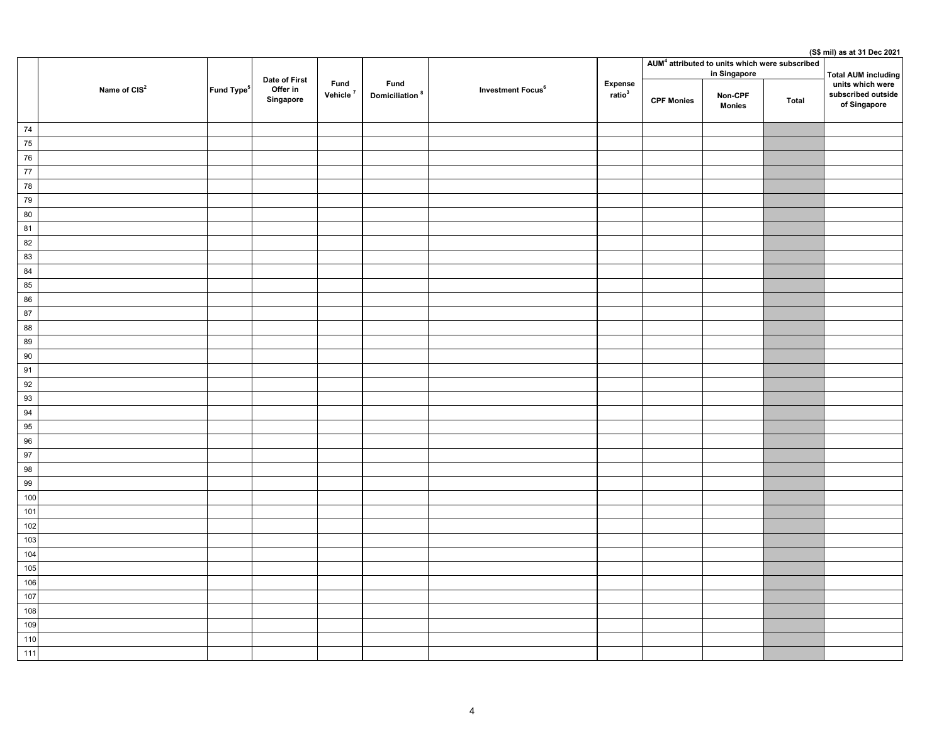|                 |                |                        |                                        |                              |                                    |                               |                               |                   | AUM <sup>4</sup> attributed to units which were subscribed<br>in Singapore |       | (S\$ mil) as at 31 Dec 2021<br><b>Total AUM including</b> |
|-----------------|----------------|------------------------|----------------------------------------|------------------------------|------------------------------------|-------------------------------|-------------------------------|-------------------|----------------------------------------------------------------------------|-------|-----------------------------------------------------------|
|                 | Name of $CIS2$ | Fund Type <sup>5</sup> | Date of First<br>Offer in<br>Singapore | Fund<br>Vehicle <sup>7</sup> | Fund<br>Domiciliation <sup>8</sup> | Investment Focus <sup>6</sup> | Expense<br>ratio <sup>3</sup> | <b>CPF Monies</b> | Non-CPF<br><b>Monies</b>                                                   | Total | units which were<br>subscribed outside<br>of Singapore    |
| $\frac{74}{75}$ |                |                        |                                        |                              |                                    |                               |                               |                   |                                                                            |       |                                                           |
|                 |                |                        |                                        |                              |                                    |                               |                               |                   |                                                                            |       |                                                           |
| 76<br>77        |                |                        |                                        |                              |                                    |                               |                               |                   |                                                                            |       |                                                           |
|                 |                |                        |                                        |                              |                                    |                               |                               |                   |                                                                            |       |                                                           |
| 78<br>79        |                |                        |                                        |                              |                                    |                               |                               |                   |                                                                            |       |                                                           |
|                 |                |                        |                                        |                              |                                    |                               |                               |                   |                                                                            |       |                                                           |
| 80              |                |                        |                                        |                              |                                    |                               |                               |                   |                                                                            |       |                                                           |
| 81              |                |                        |                                        |                              |                                    |                               |                               |                   |                                                                            |       |                                                           |
| 82              |                |                        |                                        |                              |                                    |                               |                               |                   |                                                                            |       |                                                           |
| 83              |                |                        |                                        |                              |                                    |                               |                               |                   |                                                                            |       |                                                           |
| 84              |                |                        |                                        |                              |                                    |                               |                               |                   |                                                                            |       |                                                           |
| 85              |                |                        |                                        |                              |                                    |                               |                               |                   |                                                                            |       |                                                           |
| 86              |                |                        |                                        |                              |                                    |                               |                               |                   |                                                                            |       |                                                           |
| 87              |                |                        |                                        |                              |                                    |                               |                               |                   |                                                                            |       |                                                           |
| 88              |                |                        |                                        |                              |                                    |                               |                               |                   |                                                                            |       |                                                           |
| 89              |                |                        |                                        |                              |                                    |                               |                               |                   |                                                                            |       |                                                           |
| 90              |                |                        |                                        |                              |                                    |                               |                               |                   |                                                                            |       |                                                           |
| 91              |                |                        |                                        |                              |                                    |                               |                               |                   |                                                                            |       |                                                           |
| 92              |                |                        |                                        |                              |                                    |                               |                               |                   |                                                                            |       |                                                           |
| 93              |                |                        |                                        |                              |                                    |                               |                               |                   |                                                                            |       |                                                           |
| 94              |                |                        |                                        |                              |                                    |                               |                               |                   |                                                                            |       |                                                           |
| 95              |                |                        |                                        |                              |                                    |                               |                               |                   |                                                                            |       |                                                           |
| 96              |                |                        |                                        |                              |                                    |                               |                               |                   |                                                                            |       |                                                           |
| 97              |                |                        |                                        |                              |                                    |                               |                               |                   |                                                                            |       |                                                           |
| 98              |                |                        |                                        |                              |                                    |                               |                               |                   |                                                                            |       |                                                           |
| 99              |                |                        |                                        |                              |                                    |                               |                               |                   |                                                                            |       |                                                           |
| $100$           |                |                        |                                        |                              |                                    |                               |                               |                   |                                                                            |       |                                                           |
| 101             |                |                        |                                        |                              |                                    |                               |                               |                   |                                                                            |       |                                                           |
| $102$           |                |                        |                                        |                              |                                    |                               |                               |                   |                                                                            |       |                                                           |
| 103             |                |                        |                                        |                              |                                    |                               |                               |                   |                                                                            |       |                                                           |
| 104             |                |                        |                                        |                              |                                    |                               |                               |                   |                                                                            |       |                                                           |
| 105             |                |                        |                                        |                              |                                    |                               |                               |                   |                                                                            |       |                                                           |
| 106             |                |                        |                                        |                              |                                    |                               |                               |                   |                                                                            |       |                                                           |
| $107$           |                |                        |                                        |                              |                                    |                               |                               |                   |                                                                            |       |                                                           |
| 108             |                |                        |                                        |                              |                                    |                               |                               |                   |                                                                            |       |                                                           |
| 109             |                |                        |                                        |                              |                                    |                               |                               |                   |                                                                            |       |                                                           |
| 110             |                |                        |                                        |                              |                                    |                               |                               |                   |                                                                            |       |                                                           |
| $111$           |                |                        |                                        |                              |                                    |                               |                               |                   |                                                                            |       |                                                           |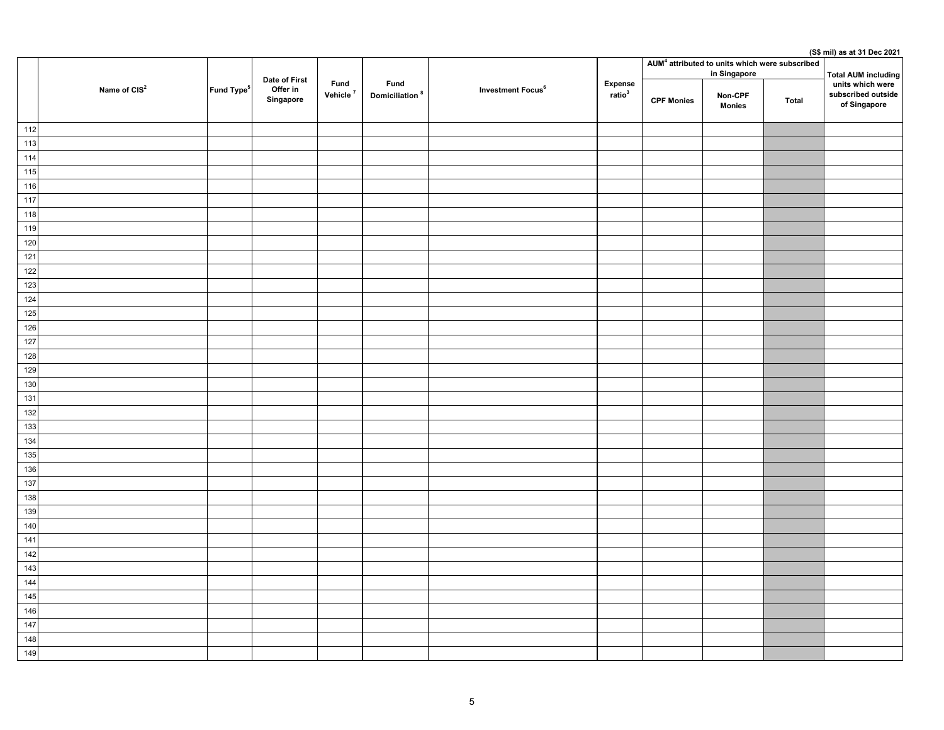|                  |                          |                        |                                        |                     |                                    |                               |                                      |                   | AUM <sup>4</sup> attributed to units which were subscribed<br>in Singapore |              | (S\$ mil) as at 31 Dec 2021<br><b>Total AUM including</b> |
|------------------|--------------------------|------------------------|----------------------------------------|---------------------|------------------------------------|-------------------------------|--------------------------------------|-------------------|----------------------------------------------------------------------------|--------------|-----------------------------------------------------------|
|                  | Name of CIS <sup>2</sup> | Fund Type <sup>5</sup> | Date of First<br>Offer in<br>Singapore | Fund<br>Vehicle $7$ | Fund<br>Domiciliation <sup>8</sup> | Investment Focus <sup>6</sup> | <b>Expense</b><br>ratio <sup>3</sup> | <b>CPF Monies</b> | Non-CPF<br><b>Monies</b>                                                   | <b>Total</b> | units which were<br>subscribed outside<br>of Singapore    |
| 112              |                          |                        |                                        |                     |                                    |                               |                                      |                   |                                                                            |              |                                                           |
| 113              |                          |                        |                                        |                     |                                    |                               |                                      |                   |                                                                            |              |                                                           |
| 114              |                          |                        |                                        |                     |                                    |                               |                                      |                   |                                                                            |              |                                                           |
| 115              |                          |                        |                                        |                     |                                    |                               |                                      |                   |                                                                            |              |                                                           |
| 116              |                          |                        |                                        |                     |                                    |                               |                                      |                   |                                                                            |              |                                                           |
| 117              |                          |                        |                                        |                     |                                    |                               |                                      |                   |                                                                            |              |                                                           |
| 118              |                          |                        |                                        |                     |                                    |                               |                                      |                   |                                                                            |              |                                                           |
| 119              |                          |                        |                                        |                     |                                    |                               |                                      |                   |                                                                            |              |                                                           |
| 120              |                          |                        |                                        |                     |                                    |                               |                                      |                   |                                                                            |              |                                                           |
| $121$            |                          |                        |                                        |                     |                                    |                               |                                      |                   |                                                                            |              |                                                           |
| 122              |                          |                        |                                        |                     |                                    |                               |                                      |                   |                                                                            |              |                                                           |
| 123              |                          |                        |                                        |                     |                                    |                               |                                      |                   |                                                                            |              |                                                           |
| 124              |                          |                        |                                        |                     |                                    |                               |                                      |                   |                                                                            |              |                                                           |
| 125              |                          |                        |                                        |                     |                                    |                               |                                      |                   |                                                                            |              |                                                           |
| 126              |                          |                        |                                        |                     |                                    |                               |                                      |                   |                                                                            |              |                                                           |
| $\frac{127}{25}$ |                          |                        |                                        |                     |                                    |                               |                                      |                   |                                                                            |              |                                                           |
| 128              |                          |                        |                                        |                     |                                    |                               |                                      |                   |                                                                            |              |                                                           |
| 129              |                          |                        |                                        |                     |                                    |                               |                                      |                   |                                                                            |              |                                                           |
| 130              |                          |                        |                                        |                     |                                    |                               |                                      |                   |                                                                            |              |                                                           |
| 131              |                          |                        |                                        |                     |                                    |                               |                                      |                   |                                                                            |              |                                                           |
| 132              |                          |                        |                                        |                     |                                    |                               |                                      |                   |                                                                            |              |                                                           |
| 133              |                          |                        |                                        |                     |                                    |                               |                                      |                   |                                                                            |              |                                                           |
| 134              |                          |                        |                                        |                     |                                    |                               |                                      |                   |                                                                            |              |                                                           |
| 135              |                          |                        |                                        |                     |                                    |                               |                                      |                   |                                                                            |              |                                                           |
| 136              |                          |                        |                                        |                     |                                    |                               |                                      |                   |                                                                            |              |                                                           |
| 137              |                          |                        |                                        |                     |                                    |                               |                                      |                   |                                                                            |              |                                                           |
| 138              |                          |                        |                                        |                     |                                    |                               |                                      |                   |                                                                            |              |                                                           |
| 139              |                          |                        |                                        |                     |                                    |                               |                                      |                   |                                                                            |              |                                                           |
| 140              |                          |                        |                                        |                     |                                    |                               |                                      |                   |                                                                            |              |                                                           |
| 141              |                          |                        |                                        |                     |                                    |                               |                                      |                   |                                                                            |              |                                                           |
| 142              |                          |                        |                                        |                     |                                    |                               |                                      |                   |                                                                            |              |                                                           |
| 143              |                          |                        |                                        |                     |                                    |                               |                                      |                   |                                                                            |              |                                                           |
| 144              |                          |                        |                                        |                     |                                    |                               |                                      |                   |                                                                            |              |                                                           |
| 145              |                          |                        |                                        |                     |                                    |                               |                                      |                   |                                                                            |              |                                                           |
| 146              |                          |                        |                                        |                     |                                    |                               |                                      |                   |                                                                            |              |                                                           |
| 147              |                          |                        |                                        |                     |                                    |                               |                                      |                   |                                                                            |              |                                                           |
| 148              |                          |                        |                                        |                     |                                    |                               |                                      |                   |                                                                            |              |                                                           |
| 149              |                          |                        |                                        |                     |                                    |                               |                                      |                   |                                                                            |              |                                                           |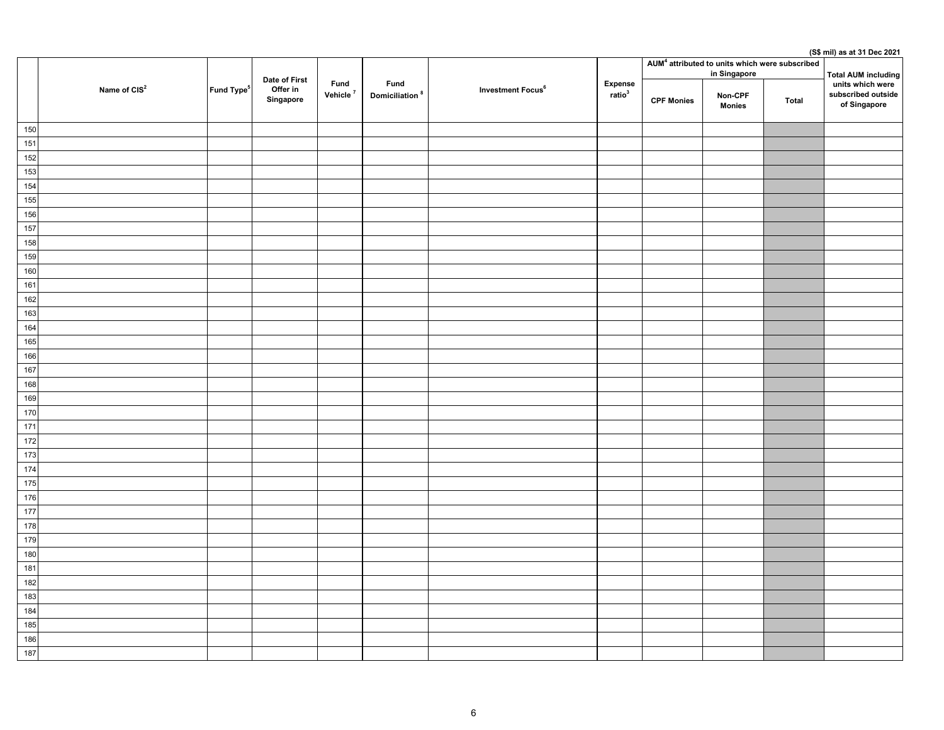|     |                          |                        |                                        |                              |                                    |                               |                               |                   | AUM <sup>4</sup> attributed to units which were subscribed<br>in Singapore |       | (S\$ mil) as at 31 Dec 2021<br><b>Total AUM including</b> |
|-----|--------------------------|------------------------|----------------------------------------|------------------------------|------------------------------------|-------------------------------|-------------------------------|-------------------|----------------------------------------------------------------------------|-------|-----------------------------------------------------------|
|     | Name of CIS <sup>2</sup> | Fund Type <sup>5</sup> | Date of First<br>Offer in<br>Singapore | Fund<br>Vehicle <sup>7</sup> | Fund<br>Domiciliation <sup>8</sup> | Investment Focus <sup>6</sup> | Expense<br>ratio <sup>3</sup> | <b>CPF Monies</b> | Non-CPF<br><b>Monies</b>                                                   | Total | units which were<br>subscribed outside<br>of Singapore    |
| 150 |                          |                        |                                        |                              |                                    |                               |                               |                   |                                                                            |       |                                                           |
| 151 |                          |                        |                                        |                              |                                    |                               |                               |                   |                                                                            |       |                                                           |
| 152 |                          |                        |                                        |                              |                                    |                               |                               |                   |                                                                            |       |                                                           |
| 153 |                          |                        |                                        |                              |                                    |                               |                               |                   |                                                                            |       |                                                           |
| 154 |                          |                        |                                        |                              |                                    |                               |                               |                   |                                                                            |       |                                                           |
| 155 |                          |                        |                                        |                              |                                    |                               |                               |                   |                                                                            |       |                                                           |
| 156 |                          |                        |                                        |                              |                                    |                               |                               |                   |                                                                            |       |                                                           |
| 157 |                          |                        |                                        |                              |                                    |                               |                               |                   |                                                                            |       |                                                           |
| 158 |                          |                        |                                        |                              |                                    |                               |                               |                   |                                                                            |       |                                                           |
| 159 |                          |                        |                                        |                              |                                    |                               |                               |                   |                                                                            |       |                                                           |
| 160 |                          |                        |                                        |                              |                                    |                               |                               |                   |                                                                            |       |                                                           |
| 161 |                          |                        |                                        |                              |                                    |                               |                               |                   |                                                                            |       |                                                           |
| 162 |                          |                        |                                        |                              |                                    |                               |                               |                   |                                                                            |       |                                                           |
| 163 |                          |                        |                                        |                              |                                    |                               |                               |                   |                                                                            |       |                                                           |
| 164 |                          |                        |                                        |                              |                                    |                               |                               |                   |                                                                            |       |                                                           |
| 165 |                          |                        |                                        |                              |                                    |                               |                               |                   |                                                                            |       |                                                           |
| 166 |                          |                        |                                        |                              |                                    |                               |                               |                   |                                                                            |       |                                                           |
| 167 |                          |                        |                                        |                              |                                    |                               |                               |                   |                                                                            |       |                                                           |
| 168 |                          |                        |                                        |                              |                                    |                               |                               |                   |                                                                            |       |                                                           |
| 169 |                          |                        |                                        |                              |                                    |                               |                               |                   |                                                                            |       |                                                           |
| 170 |                          |                        |                                        |                              |                                    |                               |                               |                   |                                                                            |       |                                                           |
| 171 |                          |                        |                                        |                              |                                    |                               |                               |                   |                                                                            |       |                                                           |
| 172 |                          |                        |                                        |                              |                                    |                               |                               |                   |                                                                            |       |                                                           |
| 173 |                          |                        |                                        |                              |                                    |                               |                               |                   |                                                                            |       |                                                           |
| 174 |                          |                        |                                        |                              |                                    |                               |                               |                   |                                                                            |       |                                                           |
| 175 |                          |                        |                                        |                              |                                    |                               |                               |                   |                                                                            |       |                                                           |
| 176 |                          |                        |                                        |                              |                                    |                               |                               |                   |                                                                            |       |                                                           |
| 177 |                          |                        |                                        |                              |                                    |                               |                               |                   |                                                                            |       |                                                           |
| 178 |                          |                        |                                        |                              |                                    |                               |                               |                   |                                                                            |       |                                                           |
| 179 |                          |                        |                                        |                              |                                    |                               |                               |                   |                                                                            |       |                                                           |
| 180 |                          |                        |                                        |                              |                                    |                               |                               |                   |                                                                            |       |                                                           |
| 181 |                          |                        |                                        |                              |                                    |                               |                               |                   |                                                                            |       |                                                           |
| 182 |                          |                        |                                        |                              |                                    |                               |                               |                   |                                                                            |       |                                                           |
| 183 |                          |                        |                                        |                              |                                    |                               |                               |                   |                                                                            |       |                                                           |
| 184 |                          |                        |                                        |                              |                                    |                               |                               |                   |                                                                            |       |                                                           |
| 185 |                          |                        |                                        |                              |                                    |                               |                               |                   |                                                                            |       |                                                           |
| 186 |                          |                        |                                        |                              |                                    |                               |                               |                   |                                                                            |       |                                                           |
| 187 |                          |                        |                                        |                              |                                    |                               |                               |                   |                                                                            |       |                                                           |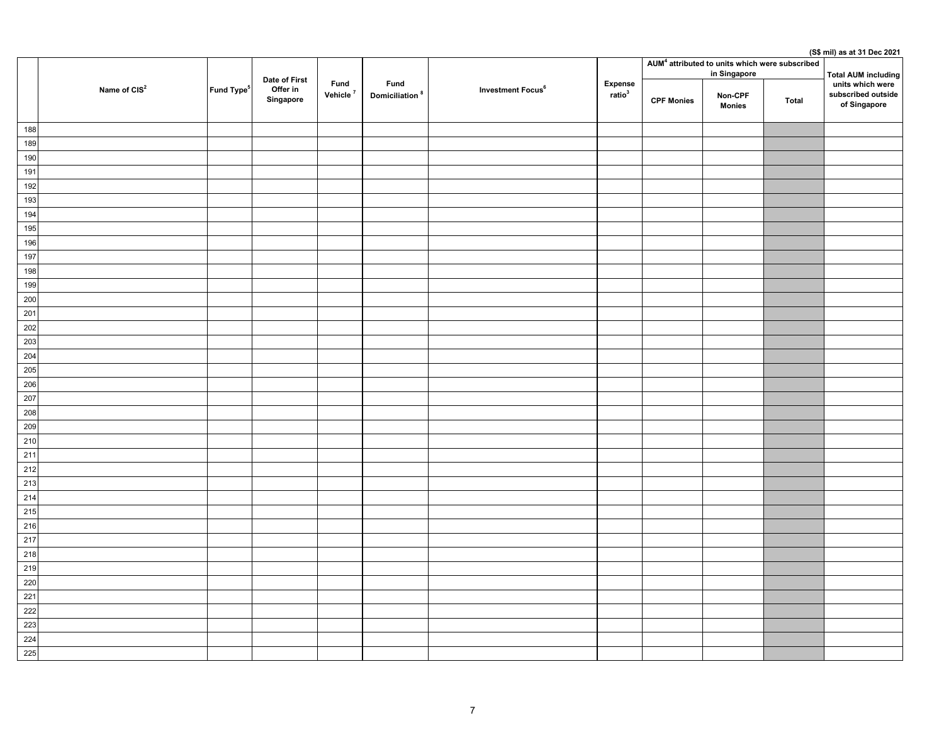|                  |                          |                        |                                        |                              |                                    |                               |                               |                   | AUM <sup>4</sup> attributed to units which were subscribed<br>in Singapore |              | (S\$ mil) as at 31 Dec 2021<br><b>Total AUM including</b> |
|------------------|--------------------------|------------------------|----------------------------------------|------------------------------|------------------------------------|-------------------------------|-------------------------------|-------------------|----------------------------------------------------------------------------|--------------|-----------------------------------------------------------|
|                  | Name of CIS <sup>2</sup> | Fund Type <sup>5</sup> | Date of First<br>Offer in<br>Singapore | Fund<br>Vehicle <sup>7</sup> | Fund<br>Domiciliation <sup>8</sup> | Investment Focus <sup>6</sup> | Expense<br>ratio <sup>3</sup> | <b>CPF Monies</b> | Non-CPF<br><b>Monies</b>                                                   | <b>Total</b> | units which were<br>subscribed outside<br>of Singapore    |
| 188              |                          |                        |                                        |                              |                                    |                               |                               |                   |                                                                            |              |                                                           |
| 189              |                          |                        |                                        |                              |                                    |                               |                               |                   |                                                                            |              |                                                           |
| 190              |                          |                        |                                        |                              |                                    |                               |                               |                   |                                                                            |              |                                                           |
| 191              |                          |                        |                                        |                              |                                    |                               |                               |                   |                                                                            |              |                                                           |
| 192              |                          |                        |                                        |                              |                                    |                               |                               |                   |                                                                            |              |                                                           |
| 193              |                          |                        |                                        |                              |                                    |                               |                               |                   |                                                                            |              |                                                           |
| 194              |                          |                        |                                        |                              |                                    |                               |                               |                   |                                                                            |              |                                                           |
| 195              |                          |                        |                                        |                              |                                    |                               |                               |                   |                                                                            |              |                                                           |
| 196              |                          |                        |                                        |                              |                                    |                               |                               |                   |                                                                            |              |                                                           |
| 197              |                          |                        |                                        |                              |                                    |                               |                               |                   |                                                                            |              |                                                           |
| 198              |                          |                        |                                        |                              |                                    |                               |                               |                   |                                                                            |              |                                                           |
| 199              |                          |                        |                                        |                              |                                    |                               |                               |                   |                                                                            |              |                                                           |
| 200              |                          |                        |                                        |                              |                                    |                               |                               |                   |                                                                            |              |                                                           |
| 201              |                          |                        |                                        |                              |                                    |                               |                               |                   |                                                                            |              |                                                           |
| 202              |                          |                        |                                        |                              |                                    |                               |                               |                   |                                                                            |              |                                                           |
| 203              |                          |                        |                                        |                              |                                    |                               |                               |                   |                                                                            |              |                                                           |
| 204              |                          |                        |                                        |                              |                                    |                               |                               |                   |                                                                            |              |                                                           |
| 205              |                          |                        |                                        |                              |                                    |                               |                               |                   |                                                                            |              |                                                           |
| 206              |                          |                        |                                        |                              |                                    |                               |                               |                   |                                                                            |              |                                                           |
| 207              |                          |                        |                                        |                              |                                    |                               |                               |                   |                                                                            |              |                                                           |
| 208              |                          |                        |                                        |                              |                                    |                               |                               |                   |                                                                            |              |                                                           |
| 209              |                          |                        |                                        |                              |                                    |                               |                               |                   |                                                                            |              |                                                           |
| 210              |                          |                        |                                        |                              |                                    |                               |                               |                   |                                                                            |              |                                                           |
| $\boxed{211}$    |                          |                        |                                        |                              |                                    |                               |                               |                   |                                                                            |              |                                                           |
| $\overline{212}$ |                          |                        |                                        |                              |                                    |                               |                               |                   |                                                                            |              |                                                           |
| 213              |                          |                        |                                        |                              |                                    |                               |                               |                   |                                                                            |              |                                                           |
| $\overline{214}$ |                          |                        |                                        |                              |                                    |                               |                               |                   |                                                                            |              |                                                           |
| 215              |                          |                        |                                        |                              |                                    |                               |                               |                   |                                                                            |              |                                                           |
| 216              |                          |                        |                                        |                              |                                    |                               |                               |                   |                                                                            |              |                                                           |
| 217              |                          |                        |                                        |                              |                                    |                               |                               |                   |                                                                            |              |                                                           |
| 218              |                          |                        |                                        |                              |                                    |                               |                               |                   |                                                                            |              |                                                           |
| 219              |                          |                        |                                        |                              |                                    |                               |                               |                   |                                                                            |              |                                                           |
| 220              |                          |                        |                                        |                              |                                    |                               |                               |                   |                                                                            |              |                                                           |
| 221              |                          |                        |                                        |                              |                                    |                               |                               |                   |                                                                            |              |                                                           |
| 222              |                          |                        |                                        |                              |                                    |                               |                               |                   |                                                                            |              |                                                           |
| 223              |                          |                        |                                        |                              |                                    |                               |                               |                   |                                                                            |              |                                                           |
| 224              |                          |                        |                                        |                              |                                    |                               |                               |                   |                                                                            |              |                                                           |
| 225              |                          |                        |                                        |                              |                                    |                               |                               |                   |                                                                            |              |                                                           |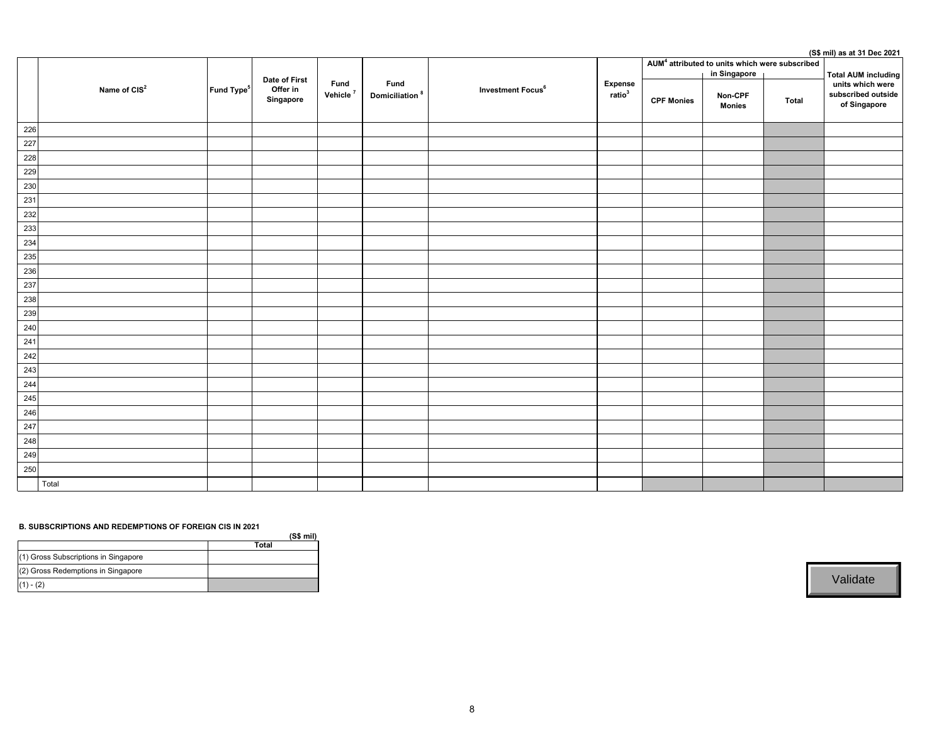|     |                          |                        |                       |                      |                            |                               |                    |                   |                                                            |       | (S\$ mil) as at 31 Dec 2021                            |
|-----|--------------------------|------------------------|-----------------------|----------------------|----------------------------|-------------------------------|--------------------|-------------------|------------------------------------------------------------|-------|--------------------------------------------------------|
|     |                          |                        |                       |                      |                            |                               |                    |                   | AUM <sup>4</sup> attributed to units which were subscribed |       |                                                        |
|     |                          |                        | Date of First         | Fund                 | Fund                       |                               | Expense            |                   | in Singapore                                               |       | <b>Total AUM including</b>                             |
|     | Name of CIS <sup>2</sup> | Fund Type <sup>5</sup> | Offer in<br>Singapore | Vehicle <sup>7</sup> | Domiciliation <sup>8</sup> | Investment Focus <sup>6</sup> | ratio <sup>3</sup> | <b>CPF Monies</b> | Non-CPF<br><b>Monies</b>                                   | Total | units which were<br>subscribed outside<br>of Singapore |
| 226 |                          |                        |                       |                      |                            |                               |                    |                   |                                                            |       |                                                        |
| 227 |                          |                        |                       |                      |                            |                               |                    |                   |                                                            |       |                                                        |
| 228 |                          |                        |                       |                      |                            |                               |                    |                   |                                                            |       |                                                        |
| 229 |                          |                        |                       |                      |                            |                               |                    |                   |                                                            |       |                                                        |
| 230 |                          |                        |                       |                      |                            |                               |                    |                   |                                                            |       |                                                        |
| 231 |                          |                        |                       |                      |                            |                               |                    |                   |                                                            |       |                                                        |
| 232 |                          |                        |                       |                      |                            |                               |                    |                   |                                                            |       |                                                        |
| 233 |                          |                        |                       |                      |                            |                               |                    |                   |                                                            |       |                                                        |
| 234 |                          |                        |                       |                      |                            |                               |                    |                   |                                                            |       |                                                        |
| 235 |                          |                        |                       |                      |                            |                               |                    |                   |                                                            |       |                                                        |
| 236 |                          |                        |                       |                      |                            |                               |                    |                   |                                                            |       |                                                        |
| 237 |                          |                        |                       |                      |                            |                               |                    |                   |                                                            |       |                                                        |
| 238 |                          |                        |                       |                      |                            |                               |                    |                   |                                                            |       |                                                        |
| 239 |                          |                        |                       |                      |                            |                               |                    |                   |                                                            |       |                                                        |
| 240 |                          |                        |                       |                      |                            |                               |                    |                   |                                                            |       |                                                        |
| 241 |                          |                        |                       |                      |                            |                               |                    |                   |                                                            |       |                                                        |
| 242 |                          |                        |                       |                      |                            |                               |                    |                   |                                                            |       |                                                        |
| 243 |                          |                        |                       |                      |                            |                               |                    |                   |                                                            |       |                                                        |
| 244 |                          |                        |                       |                      |                            |                               |                    |                   |                                                            |       |                                                        |
| 245 |                          |                        |                       |                      |                            |                               |                    |                   |                                                            |       |                                                        |
| 246 |                          |                        |                       |                      |                            |                               |                    |                   |                                                            |       |                                                        |
| 247 |                          |                        |                       |                      |                            |                               |                    |                   |                                                            |       |                                                        |
| 248 |                          |                        |                       |                      |                            |                               |                    |                   |                                                            |       |                                                        |
| 249 |                          |                        |                       |                      |                            |                               |                    |                   |                                                            |       |                                                        |
| 250 |                          |                        |                       |                      |                            |                               |                    |                   |                                                            |       |                                                        |
|     | Total                    |                        |                       |                      |                            |                               |                    |                   |                                                            |       |                                                        |

#### **B. SUBSCRIPTIONS AND REDEMPTIONS OF FOREIGN CIS IN 2021**

|                                      | (S\$ mi)     |
|--------------------------------------|--------------|
|                                      | <b>Total</b> |
| (1) Gross Subscriptions in Singapore |              |
| (2) Gross Redemptions in Singapore   |              |
| $(1) - (2)$                          |              |

Validate